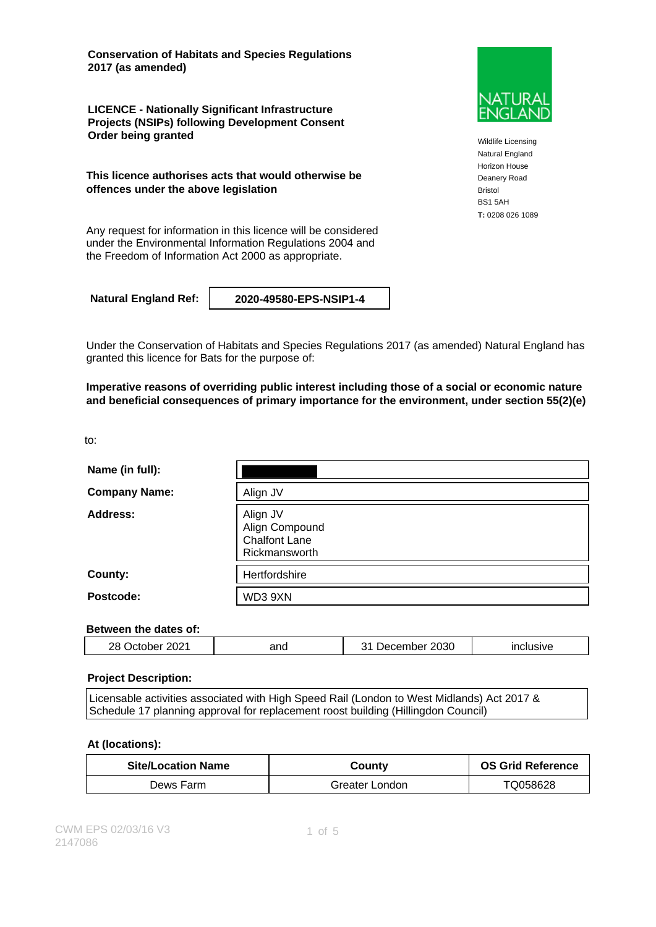**Conservation of Habitats and Species Regulations 2017 (as amended)**

**LICENCE - Nationally Significant Infrastructure Projects (NSIPs) following Development Consent Order being granted**

**This licence authorises acts that would otherwise be offences under the above legislation**

Any request for information in this licence will be considered under the Environmental Information Regulations 2004 and the Freedom of Information Act 2000 as appropriate.

**Natural England Ref: 2020-49580-EPS-NSIP1-4**



Wildlife Licensing Natural England Horizon House Deanery Road Bristol BS1 5AH **T:** 0208 026 1089

Under the Conservation of Habitats and Species Regulations 2017 (as amended) Natural England has granted this licence for Bats for the purpose of:

**Imperative reasons of overriding public interest including those of a social or economic nature and beneficial consequences of primary importance for the environment, under section 55(2)(e)**

to:

| Name (in full):      |                                                                     |
|----------------------|---------------------------------------------------------------------|
| <b>Company Name:</b> | Align JV                                                            |
| Address:             | Align JV<br>Align Compound<br><b>Chalfont Lane</b><br>Rickmansworth |
| County:              | Hertfordshire                                                       |
| Postcode:            | WD3 9XN                                                             |

### **Between the dates of:**

| 2021 | 2030      |
|------|-----------|
| פכ   | ınclusıve |
| and  | $-$       |
| . .  | npei      |
| nne. | Jecer     |

#### **Project Description:**

Licensable activities associated with High Speed Rail (London to West Midlands) Act 2017 & Schedule 17 planning approval for replacement roost building (Hillingdon Council)

#### **At (locations):**

| <b>Site/Location Name</b> | Countv         | <b>OS Grid Reference</b> |
|---------------------------|----------------|--------------------------|
| Dews Farm                 | Greater London | TQ058628                 |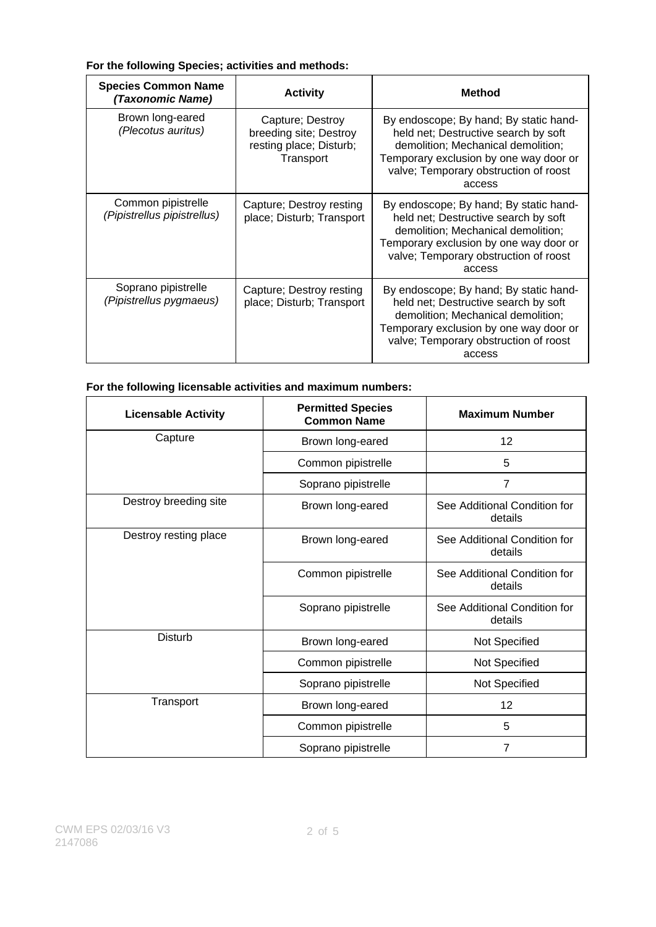### **For the following Species; activities and methods:**

| <b>Species Common Name</b><br>(Taxonomic Name)    | <b>Activity</b>                                                                    | <b>Method</b>                                                                                                                                                                                                     |
|---------------------------------------------------|------------------------------------------------------------------------------------|-------------------------------------------------------------------------------------------------------------------------------------------------------------------------------------------------------------------|
| Brown long-eared<br>(Plecotus auritus)            | Capture; Destroy<br>breeding site; Destroy<br>resting place; Disturb;<br>Transport | By endoscope; By hand; By static hand-<br>held net; Destructive search by soft<br>demolition; Mechanical demolition;<br>Temporary exclusion by one way door or<br>valve; Temporary obstruction of roost<br>access |
| Common pipistrelle<br>(Pipistrellus pipistrellus) | Capture; Destroy resting<br>place; Disturb; Transport                              | By endoscope; By hand; By static hand-<br>held net; Destructive search by soft<br>demolition; Mechanical demolition;<br>Temporary exclusion by one way door or<br>valve; Temporary obstruction of roost<br>access |
| Soprano pipistrelle<br>(Pipistrellus pygmaeus)    | Capture; Destroy resting<br>place; Disturb; Transport                              | By endoscope; By hand; By static hand-<br>held net; Destructive search by soft<br>demolition; Mechanical demolition;<br>Temporary exclusion by one way door or<br>valve; Temporary obstruction of roost<br>access |

### **For the following licensable activities and maximum numbers:**

| <b>Licensable Activity</b> | <b>Permitted Species</b><br><b>Common Name</b> | <b>Maximum Number</b>                   |
|----------------------------|------------------------------------------------|-----------------------------------------|
| Capture                    | Brown long-eared                               | 12                                      |
|                            | Common pipistrelle                             | 5                                       |
|                            | Soprano pipistrelle                            | $\overline{7}$                          |
| Destroy breeding site      | Brown long-eared                               | See Additional Condition for<br>details |
| Destroy resting place      | Brown long-eared                               | See Additional Condition for<br>details |
|                            | Common pipistrelle                             | See Additional Condition for<br>details |
|                            | Soprano pipistrelle                            | See Additional Condition for<br>details |
| <b>Disturb</b>             | Brown long-eared                               | Not Specified                           |
|                            | Common pipistrelle                             | Not Specified                           |
|                            | Soprano pipistrelle                            | Not Specified                           |
| Transport                  | Brown long-eared                               | 12                                      |
|                            | Common pipistrelle                             | 5                                       |
|                            | Soprano pipistrelle                            | $\overline{7}$                          |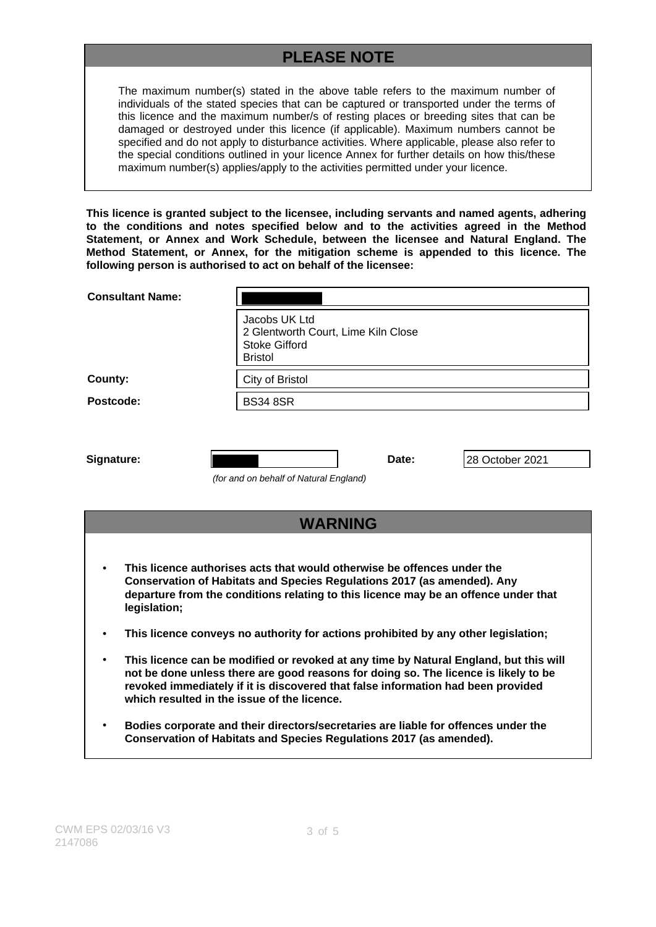# **PLEASE NOTE**

The maximum number(s) stated in the above table refers to the maximum number of individuals of the stated species that can be captured or transported under the terms of this licence and the maximum number/s of resting places or breeding sites that can be damaged or destroyed under this licence (if applicable). Maximum numbers cannot be specified and do not apply to disturbance activities. Where applicable, please also refer to the special conditions outlined in your licence Annex for further details on how this/these maximum number(s) applies/apply to the activities permitted under your licence.

**This licence is granted subject to the licensee, including servants and named agents, adhering to the conditions and notes specified below and to the activities agreed in the Method Statement, or Annex and Work Schedule, between the licensee and Natural England. The Method Statement, or Annex, for the mitigation scheme is appended to this licence. The following person is authorised to act on behalf of the licensee:**

| <b>Consultant Name:</b>                                                                                                                                                                                                                                          |                                                                                                |       |                 |  |
|------------------------------------------------------------------------------------------------------------------------------------------------------------------------------------------------------------------------------------------------------------------|------------------------------------------------------------------------------------------------|-------|-----------------|--|
|                                                                                                                                                                                                                                                                  | Jacobs UK Ltd<br>2 Glentworth Court, Lime Kiln Close<br><b>Stoke Gifford</b><br><b>Bristol</b> |       |                 |  |
| County:                                                                                                                                                                                                                                                          | City of Bristol                                                                                |       |                 |  |
| Postcode:                                                                                                                                                                                                                                                        | <b>BS34 8SR</b>                                                                                |       |                 |  |
| Signature:                                                                                                                                                                                                                                                       | (for and on behalf of Natural England)                                                         | Date: | 28 October 2021 |  |
|                                                                                                                                                                                                                                                                  | <b>WARNING</b>                                                                                 |       |                 |  |
| This licence authorises acts that would otherwise be offences under the<br><b>Conservation of Habitats and Species Regulations 2017 (as amended). Any</b><br>departure from the conditions relating to this licence may be an offence under that<br>legislation; |                                                                                                |       |                 |  |

- **This licence conveys no authority for actions prohibited by any other legislation;**
- **This licence can be modified or revoked at any time by Natural England, but this will not be done unless there are good reasons for doing so. The licence is likely to be revoked immediately if it is discovered that false information had been provided which resulted in the issue of the licence.**
- **Bodies corporate and their directors/secretaries are liable for offences under the Conservation of Habitats and Species Regulations 2017 (as amended).**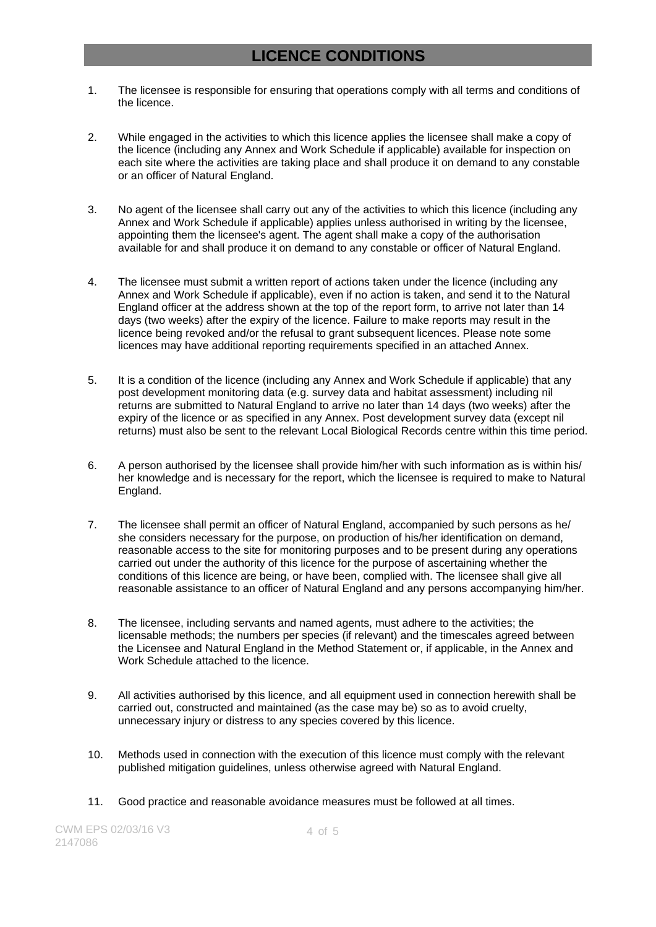## **LICENCE CONDITIONS**

- 1. The licensee is responsible for ensuring that operations comply with all terms and conditions of the licence.
- 2. While engaged in the activities to which this licence applies the licensee shall make a copy of the licence (including any Annex and Work Schedule if applicable) available for inspection on each site where the activities are taking place and shall produce it on demand to any constable or an officer of Natural England.
- 3. No agent of the licensee shall carry out any of the activities to which this licence (including any Annex and Work Schedule if applicable) applies unless authorised in writing by the licensee, appointing them the licensee's agent. The agent shall make a copy of the authorisation available for and shall produce it on demand to any constable or officer of Natural England.
- 4. The licensee must submit a written report of actions taken under the licence (including any Annex and Work Schedule if applicable), even if no action is taken, and send it to the Natural England officer at the address shown at the top of the report form, to arrive not later than 14 days (two weeks) after the expiry of the licence. Failure to make reports may result in the licence being revoked and/or the refusal to grant subsequent licences. Please note some licences may have additional reporting requirements specified in an attached Annex.
- 5. It is a condition of the licence (including any Annex and Work Schedule if applicable) that any post development monitoring data (e.g. survey data and habitat assessment) including nil returns are submitted to Natural England to arrive no later than 14 days (two weeks) after the expiry of the licence or as specified in any Annex. Post development survey data (except nil returns) must also be sent to the relevant Local Biological Records centre within this time period.
- 6. A person authorised by the licensee shall provide him/her with such information as is within his/ her knowledge and is necessary for the report, which the licensee is required to make to Natural England.
- 7. The licensee shall permit an officer of Natural England, accompanied by such persons as he/ she considers necessary for the purpose, on production of his/her identification on demand, reasonable access to the site for monitoring purposes and to be present during any operations carried out under the authority of this licence for the purpose of ascertaining whether the conditions of this licence are being, or have been, complied with. The licensee shall give all reasonable assistance to an officer of Natural England and any persons accompanying him/her.
- 8. The licensee, including servants and named agents, must adhere to the activities; the licensable methods; the numbers per species (if relevant) and the timescales agreed between the Licensee and Natural England in the Method Statement or, if applicable, in the Annex and Work Schedule attached to the licence.
- 9. All activities authorised by this licence, and all equipment used in connection herewith shall be carried out, constructed and maintained (as the case may be) so as to avoid cruelty, unnecessary injury or distress to any species covered by this licence.
- 10. Methods used in connection with the execution of this licence must comply with the relevant published mitigation guidelines, unless otherwise agreed with Natural England.
- 11. Good practice and reasonable avoidance measures must be followed at all times.